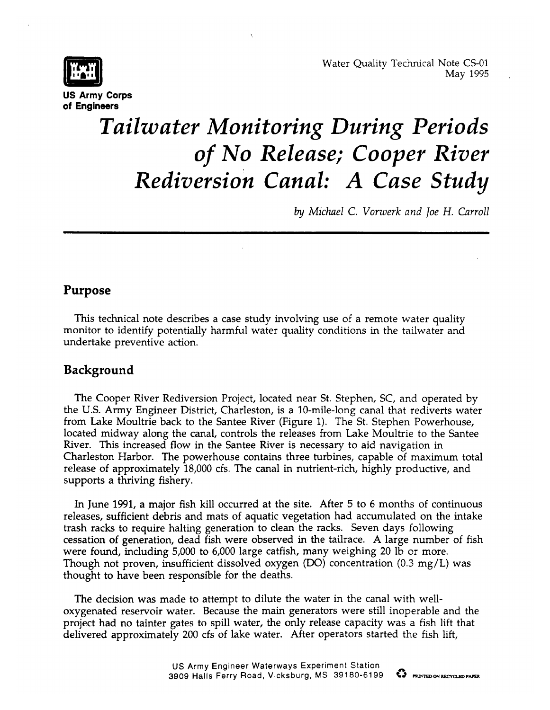



**US Army Corps of Engineers**

# *Tailwater Monitoring During Periods of No Release; Cooper River Rediversion Canal: A Case Study*

*by Michael C. Vorwerk and }oe H. Carroll*

## **Purpose**

This technical note describes a case study involving use of a remote water quality monitor to identify potentially harmful water quality conditions in the tailwater and undertake preventive action.

## **Background**

The Cooper River Rediversion Project, located near St. Stephen, SC, and operated by the U.S. Army Engineer District, Charleston, is a 10-mile-long canal that rediverts water from Lake Moultrie back to the Santee River (Figure 1). The St. Stephen Powerhouse, located midway along the canal, controls the releases from Lake Moultrie to the Santee River. This increased flow in the Santee River is necessary to aid navigation in Charleston Harbor. The powerhouse contains three turbines, capable of maximum total release of approximately 18,000 cfs. The canal in nutrient-rich, highly productive, and supports a thriving fishery.

In June 1991, a major fish kill occurred at the site. After 5 to 6 months of continuous releases, sufficient debris and mats of aquatic vegetation had accumulated on the intake trash racks to require halting generation to clean the racks. Seven days following cessation of generation, dead fish were observed in the tailrace. A large number of fish were found, including 5,000 to 6,000 large catfish, many weighing 20 lb or more. Though not proven, insufficient dissolved oxygen (DO) concentration  $(0.3 \text{ mg/L})$  was thought to have been responsible for the deaths.

The decision was made to attempt to dilute the water in the canal with welloxygenated reservoir water. Because the main generators were still inoperable and the project had no tainter gates to spill water, the only release capacity was a fish lift that delivered approximately 200 cfs of lake water. After operators started the fish lift,

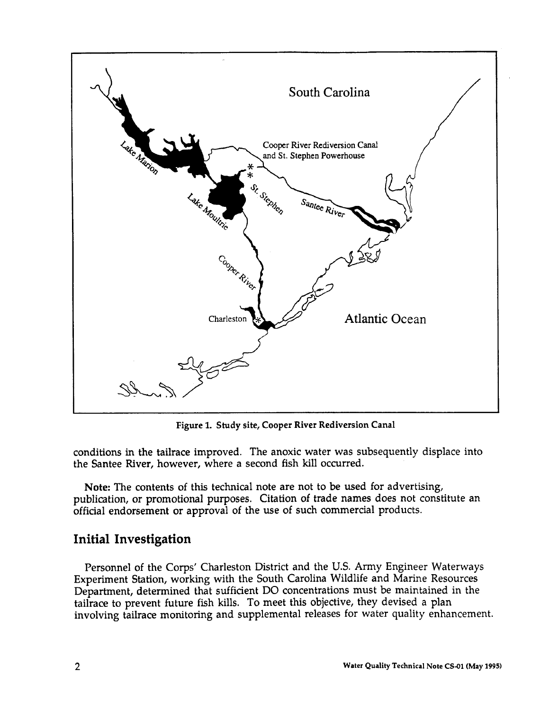

**Figure 1. Study site, Cooper River Rediversion Canal**

**conditions in the tailrace improved.** The anoxic water was subsequently displace into the Santee River, however, where a second fish kill occurred.

Note: The contents of this technical note are not to be used for advertising, publication, or promotional purposes. Citation of trade names does not constitute an official endorsement or approval of the use of such commercial products.

# **Initial Investigation**

Personnel of the Corps' Charleston District and the U.S. Army Engineer Waterways Experiment Station, working with the South Carolina Wildlife and Marine Resources Department, determined that sufficient DO concentrations must be maintained in the tailrace to prevent future fish kills. To meet this objective, they devised a plan involving tailrace monitoring and supplemental releases for water quality enhancement.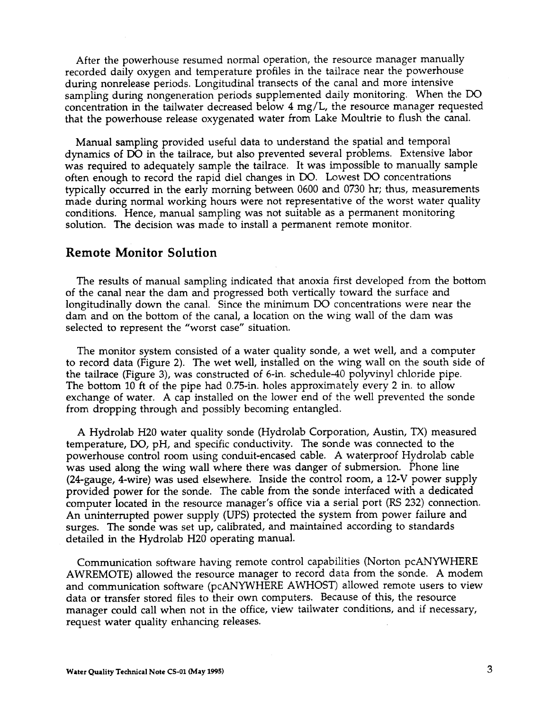After the powerhouse resumed normal operation, the resource manager manually recorded daily oxygen and temperature profiles in the tailrace near the powerhouse during nonrelease periods. Longitudinal transects of the canal and more intensive sampling during nongeneration periods supplemented daily monitoring. When the DO concentration in the tailwater decreased below 4 mg/L, the resource manager requested that the powerhouse release oxygenated water from Lake Moultrie to flush the canal.

Manual sampling provided useful data to understand the spatial and temporal dynamics of DO in the tailrace, but also prevented several problems. Extensive labor was required to adequately sample the tailrace. It was impossible to manually sample often enough to record the rapid diel changes in DO. Lowest DO concentrations typically occurred in the early morning between 0600 and 0730 hr; thus, measurements made during normal working hours were not representative of the worst water quality conditions. Hence, manual sampling was not suitable as a permanent monitoring solution. The decision was made to install a permanent remote monitor.

#### **Remote Monitor Solution**

The results of manual sampling indicated that anoxia first developed from the bottom of the canal near the dam and progressed both vertically toward the surface and longitudinally down the canal. Since the minimum DO concentrations were near the dam and on the bottom of the canal, a location on the wing wall of the dam was selected to represent the "worst case" situation.

The monitor system consisted of a water quality sonde, a wet well, and a computer to record data (Figure 2). The wet well, installed on the wing wall on the south side of the tailrace (Figure 3), was constructed of 6-in. schedule-40 polyvinyl chloride pipe. The bottom 10 ft of the pipe had 0.75-in. holes approximately every 2 in. to allow exchange of water. A cap installed on the lower end of the well prevented the sonde from dropping through and possibly becoming entangled.

A Hydrolab H20 water quality sonde (Hydrolab Corporation, Austin, TX) measured temperature, DO, pH, and specific conductivity. The sonde was connected to the powerhouse control room using conduit-encased cable. A waterproof Hydrolab cable was used along the wing wall where there was danger of submersion. Phone line (24-gauge, 4-wire) was used elsewhere. Inside the control room, a 12-V power supply provided power for the sonde. The cable from the sonde interfaced with a dedicated computer located in the resource manager's office via a serial port (RS 232) connection. An uninterrupted power supply (UPS) protected the system from power failure and surges. The sonde was set up, calibrated, and maintained according to standards detailed in the Hydrolab H20 operating manual.

Communication software having remote control capabilities (Norton pcANYWHERE AWREMOTE) allowed the resource manager to record data from the sonde. A modem and communication software (pcANYWHERE AWHOST) allowed remote users to view data or transfer stored files to their own computers. Because of this, the resource manager could call when not in the office, view tailwater conditions, and if necessary, request water quality enhancing releases.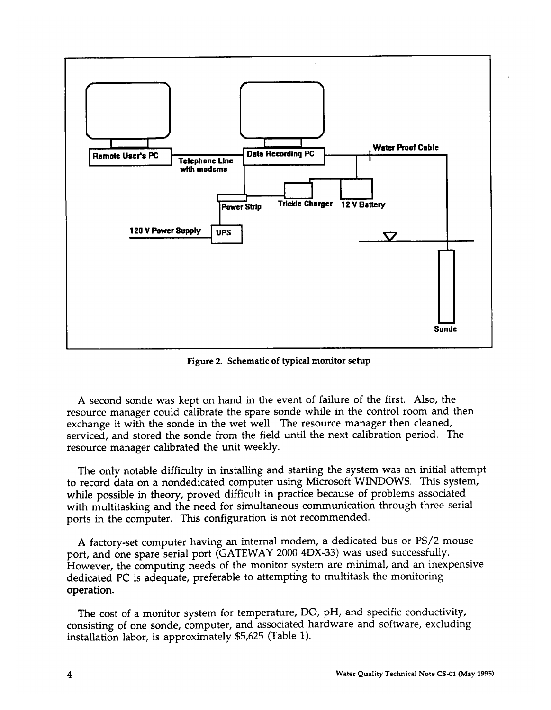

**Figure 2. Schematic of typical monitor setup**

A second sonde was kept on hand in the event of failure of the first. Also, the resource manager could calibrate the spare sonde while in the control room and then exchange it with the sonde in the wet well. The resource manager then cleaned, serviced, and stored the sonde from the field until the next calibration period. The resource manager calibrated the unit weekly.

The only notable difficulty in installing and starting the system was an initial attempt to record data on a nondedicated computer using Microsoft WINDOWS. This system, while possible in theory, proved difficult in practice because of problems associated with multitasking and the need for simultaneous communication through three serial ports in the computer. This configuration is not recommended.

A factory-set computer having an internal modem, a dedicated bus or PS/2 mouse port, and one spare serial port (GATEWAY 2000 4DX-33) was used successfully. However, the computing needs of the monitor system are minimal, and an inexpensive dedicated PC is adequate, preferable to attempting to multitask the monitoring operation.

The cost of a monitor system for temperature, DO, pH, and specific conductivity, consisting of one sonde, computer, and 'associated hardware and software, excluding installation labor, is approximately \$5,625 (Table 1).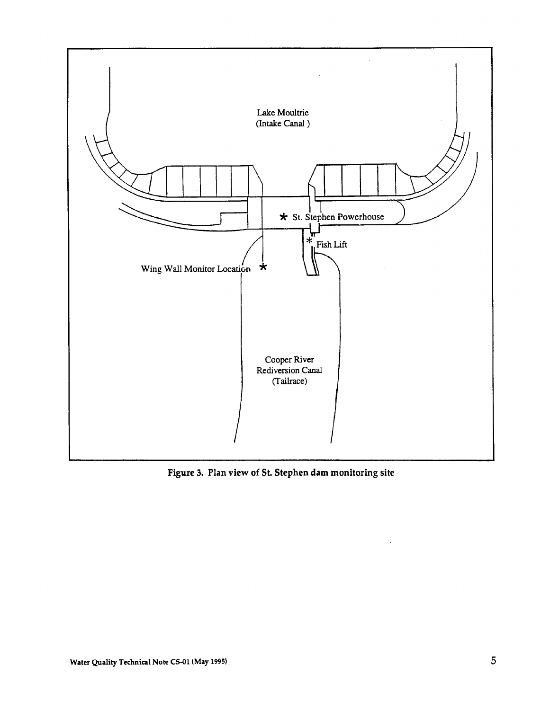

**Figure 3. Plan view of St. Stephen dam monitoring site**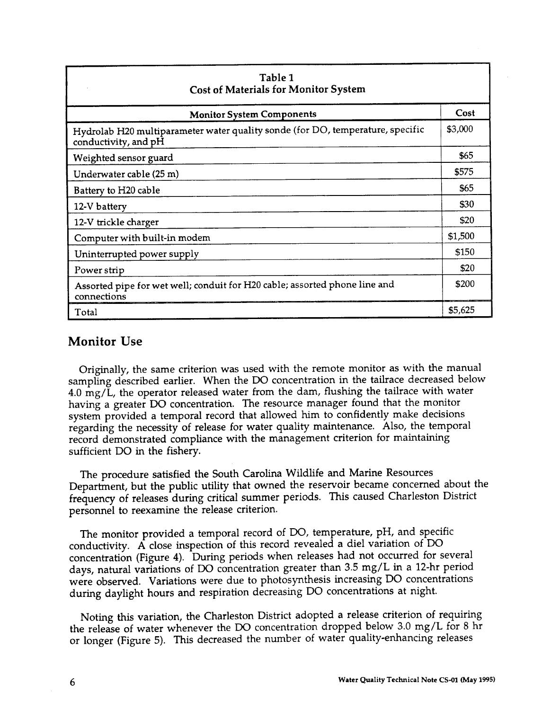| Table 1<br><b>Cost of Materials for Monitor System</b>                                                 |         |
|--------------------------------------------------------------------------------------------------------|---------|
| <b>Monitor System Components</b>                                                                       | Cost    |
| Hydrolab H20 multiparameter water quality sonde (for DO, temperature, specific<br>conductivity, and pH | \$3,000 |
| Weighted sensor guard                                                                                  | \$65    |
| Underwater cable (25 m)                                                                                | \$575   |
| Battery to H20 cable                                                                                   | \$65    |
| 12-V battery                                                                                           | \$30    |
| 12-V trickle charger                                                                                   | \$20    |
| Computer with built-in modem                                                                           | \$1,500 |
| Uninterrupted power supply                                                                             | \$150   |
| Power strip                                                                                            | \$20    |
| Assorted pipe for wet well; conduit for H20 cable; assorted phone line and<br>connections              | \$200   |
| Total                                                                                                  | \$5,625 |

## **Monitor Use**

Originally, the same criterion was used with the remote monitor as with the manual sampling described earlier. When the DO concentration in the tailrace decreased below 4.0 mg/L, the operator released water from the dam, flushing the tailrace with water having a greater DO concentration. The resource manager found that the monitor system provided a temporal record that allowed him to confidently make decisions regarding the necessity of release for water quality maintenance. Also, the temporal record demonstrated compliance with the management criterion for maintaining sufficient DO in the fishery.

The procedure satisfied the South Carolina Wildlife and Marine Resources Department, but the public utility that owned the reservoir became concerned about the frequency of releases during critical summer periods. This caused Charleston District personnel to reexamine the release criterion.

The monitor provided a temporal record of DO, temperature, pH, and specific conductivity. A close inspection of this record revealed a diel variation of DO concentration (Figure 4). During periods when releases had not occurred for several days, natural variations of DO concentration greater than 3.5 mg/L in a 12-hr period were observed. Variations were due to photosynthesis increasing DO concentrations during daylight hours and respiration decreasing DO concentrations at night.

Noting this variation, the Charleston District adopted a release criterion of requiring the release of water whenever the DO concentration dropped below 3.0 mg/L for 8 hr or longer (Figure 5). This decreased the number of water quality-enhancing releases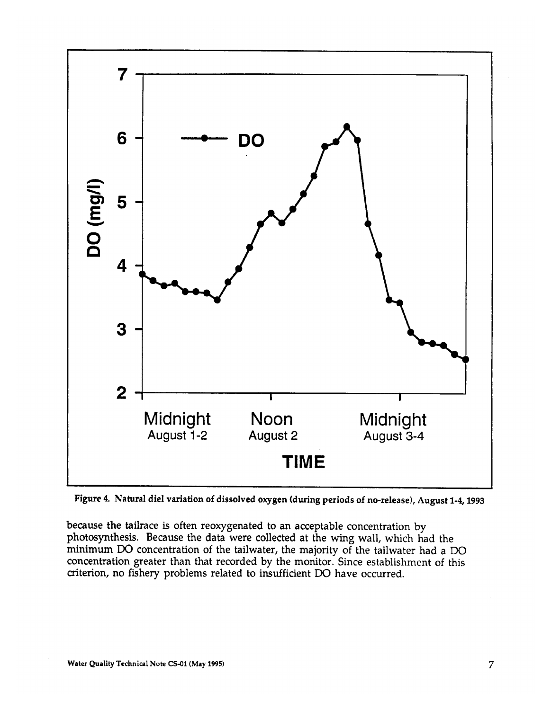

**Figure 4 Natural diel variation of dissolved oxygen (during periods of no-release), August 1-4,1993**

because the tailrace is often reoxygenated to an acceptable concentration by photosynthesis. Because the data were collected at the wing wall, which had the minimum DO concentration of the tailwater, the majority of the tailwater had a DO concentration greater than that recorded by the monitor. Since establishment of this criterion, no fishery problems related to insufficient DO have occurred.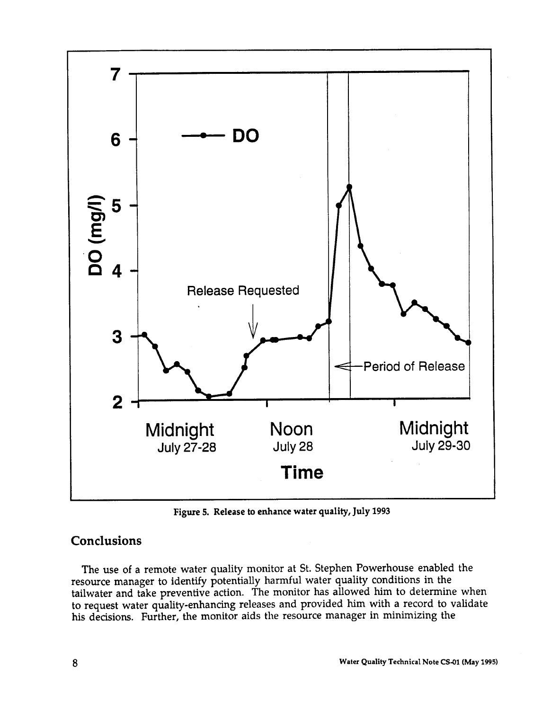

**Figure 5. Release to enhance water quality, July 1993**

# **Conclusions**

The use of a remote water quality monitor at St. Stephen Powerhouse enabled the resource manager to identify potentially harmful water quality conditions in the tailwater and take preventive action. The monitor has allowed him to determine when to request water quality-enhancing releases and provided him with a record to validate his decisions. Further, the monitor aids the resource manager in minimizing the